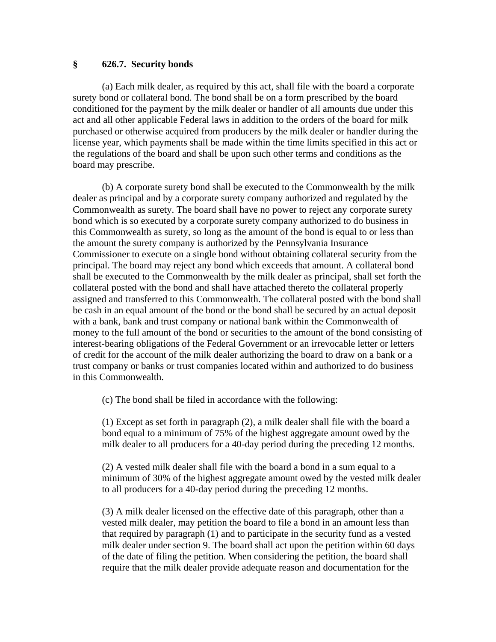## **§ 626.7. Security bonds**

(a) Each milk dealer, as required by this act, shall file with the board a corporate surety bond or collateral bond. The bond shall be on a form prescribed by the board conditioned for the payment by the milk dealer or handler of all amounts due under this act and all other applicable Federal laws in addition to the orders of the board for milk purchased or otherwise acquired from producers by the milk dealer or handler during the license year, which payments shall be made within the time limits specified in this act or the regulations of the board and shall be upon such other terms and conditions as the board may prescribe.

(b) A corporate surety bond shall be executed to the Commonwealth by the milk dealer as principal and by a corporate surety company authorized and regulated by the Commonwealth as surety. The board shall have no power to reject any corporate surety bond which is so executed by a corporate surety company authorized to do business in this Commonwealth as surety, so long as the amount of the bond is equal to or less than the amount the surety company is authorized by the Pennsylvania Insurance Commissioner to execute on a single bond without obtaining collateral security from the principal. The board may reject any bond which exceeds that amount. A collateral bond shall be executed to the Commonwealth by the milk dealer as principal, shall set forth the collateral posted with the bond and shall have attached thereto the collateral properly assigned and transferred to this Commonwealth. The collateral posted with the bond shall be cash in an equal amount of the bond or the bond shall be secured by an actual deposit with a bank, bank and trust company or national bank within the Commonwealth of money to the full amount of the bond or securities to the amount of the bond consisting of interest-bearing obligations of the Federal Government or an irrevocable letter or letters of credit for the account of the milk dealer authorizing the board to draw on a bank or a trust company or banks or trust companies located within and authorized to do business in this Commonwealth.

(c) The bond shall be filed in accordance with the following:

(1) Except as set forth in paragraph (2), a milk dealer shall file with the board a bond equal to a minimum of 75% of the highest aggregate amount owed by the milk dealer to all producers for a 40-day period during the preceding 12 months.

(2) A vested milk dealer shall file with the board a bond in a sum equal to a minimum of 30% of the highest aggregate amount owed by the vested milk dealer to all producers for a 40-day period during the preceding 12 months.

(3) A milk dealer licensed on the effective date of this paragraph, other than a vested milk dealer, may petition the board to file a bond in an amount less than that required by paragraph (1) and to participate in the security fund as a vested milk dealer under section 9. The board shall act upon the petition within 60 days of the date of filing the petition. When considering the petition, the board shall require that the milk dealer provide adequate reason and documentation for the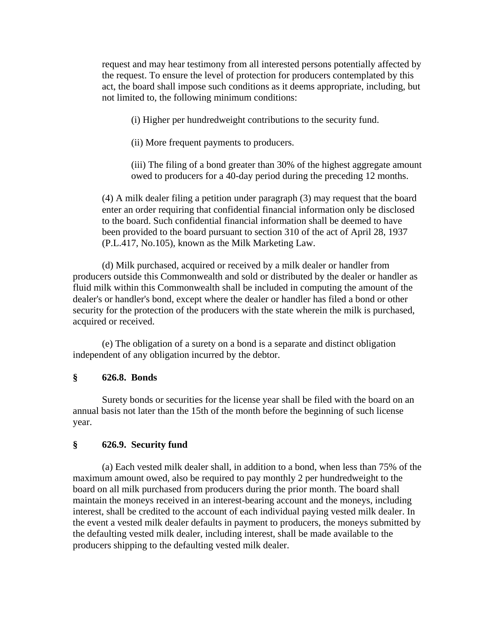request and may hear testimony from all interested persons potentially affected by the request. To ensure the level of protection for producers contemplated by this act, the board shall impose such conditions as it deems appropriate, including, but not limited to, the following minimum conditions:

(i) Higher per hundredweight contributions to the security fund.

(ii) More frequent payments to producers.

(iii) The filing of a bond greater than 30% of the highest aggregate amount owed to producers for a 40-day period during the preceding 12 months.

(4) A milk dealer filing a petition under paragraph (3) may request that the board enter an order requiring that confidential financial information only be disclosed to the board. Such confidential financial information shall be deemed to have been provided to the board pursuant to section 310 of the act of April 28, 1937 (P.L.417, No.105), known as the Milk Marketing Law.

(d) Milk purchased, acquired or received by a milk dealer or handler from producers outside this Commonwealth and sold or distributed by the dealer or handler as fluid milk within this Commonwealth shall be included in computing the amount of the dealer's or handler's bond, except where the dealer or handler has filed a bond or other security for the protection of the producers with the state wherein the milk is purchased, acquired or received.

(e) The obligation of a surety on a bond is a separate and distinct obligation independent of any obligation incurred by the debtor.

## **§ 626.8. Bonds**

Surety bonds or securities for the license year shall be filed with the board on an annual basis not later than the 15th of the month before the beginning of such license year.

## **§ 626.9. Security fund**

(a) Each vested milk dealer shall, in addition to a bond, when less than 75% of the maximum amount owed, also be required to pay monthly 2 per hundredweight to the board on all milk purchased from producers during the prior month. The board shall maintain the moneys received in an interest-bearing account and the moneys, including interest, shall be credited to the account of each individual paying vested milk dealer. In the event a vested milk dealer defaults in payment to producers, the moneys submitted by the defaulting vested milk dealer, including interest, shall be made available to the producers shipping to the defaulting vested milk dealer.